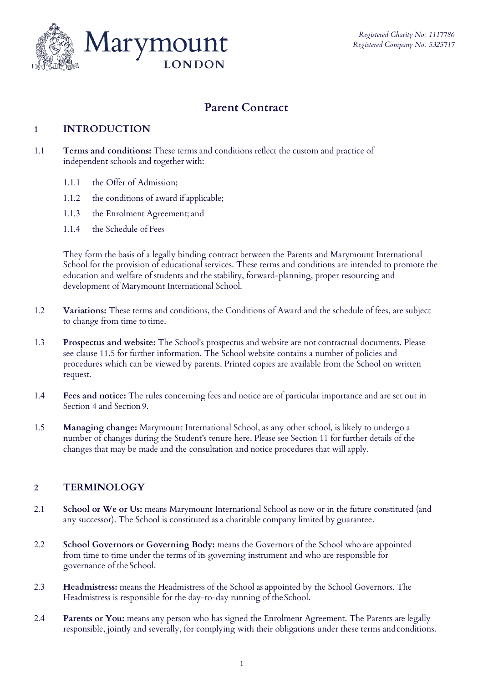

# **Parent Contract**

#### **1 INTRODUCTION**

- 1.1 **Terms and conditions:** These terms and conditions reflect the custom and practice of independent schools and together with:
	- 1.1.1 the Offer of Admission;
	- 1.1.2 the conditions of award if applicable;
	- 1.1.3 the Enrolment Agreement; and
	- 1.1.4 the Schedule of Fees

They form the basis of a legally binding contract between the Parents and Marymount International School for the provision of educational services. These terms and conditions are intended to promote the education and welfare of students and the stability, forward-planning, proper resourcing and development of Marymount International School.

- 1.2 **Variations:** These terms and conditions, the Conditions of Award and the schedule of fees, are subject to change from time to time.
- 1.3 **Prospectus and website:** The School's prospectus and website are not contractual documents. Please see clause 11.5 for further information. The School website contains a number of policies and procedures which can be viewed by parents. Printed copies are available from the School on written request.
- 1.4 **Fees and notice:** The rules concerning fees and notice are of particular importance and are set out in Section 4 and Section 9.
- 1.5 **Managing change:** Marymount International School, as any other school, is likely to undergo a number of changes during the Student's tenure here. Please see Section 11 for further details of the changes that may be made and the consultation and notice procedures that will apply.

#### **2 TERMINOLOGY**

- 2.1 **School or We or Us:** means Marymount International School as now or in the future constituted (and any successor). The School is constituted as a charitable company limited by guarantee.
- 2.2 **School Governors or Governing Body:** means the Governors of the School who are appointed from time to time under the terms of its governing instrument and who are responsible for governance of the School.
- 2.3 **Headmistress:** means the Headmistress of the School as appointed by the School Governors. The Headmistress is responsible for the day-to-day running of the School.
- 2.4 **Parents or You:** means any person who has signed the Enrolment Agreement. The Parents are legally responsible, jointly and severally, for complying with their obligations under these terms andconditions.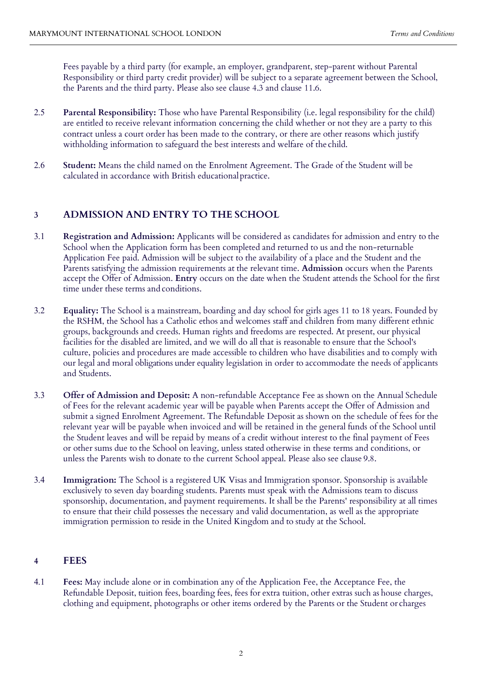Fees payable by a third party (for example, an employer, grandparent, step-parent without Parental Responsibility or third party credit provider) will be subject to a separate agreement between the School, the Parents and the third party. Please also see clause 4.3 and clause 11.6.

- 2.5 **Parental Responsibility:** Those who have Parental Responsibility (i.e. legal responsibility for the child) are entitled to receive relevant information concerning the child whether or not they are a party to this contract unless a court order has been made to the contrary, or there are other reasons which justify withholding information to safeguard the best interests and welfare of the child.
- 2.6 **Student:** Means the child named on the Enrolment Agreement. The Grade of the Student will be calculated in accordance with British educationalpractice.

#### **3 ADMISSION AND ENTRY TO THE SCHOOL**

- 3.1 **Registration and Admission:** Applicants will be considered as candidates for admission and entry to the School when the Application form has been completed and returned to us and the non-returnable Application Fee paid. Admission will be subject to the availability of a place and the Student and the Parents satisfying the admission requirements at the relevant time. **Admission** occurs when the Parents accept the Offer of Admission. **Entry** occurs on the date when the Student attends the School for the first time under these terms and conditions.
- 3.2 **Equality:** The School is a mainstream, boarding and day school for girls ages 11 to 18 years. Founded by the RSHM, the School has a Catholic ethos and welcomes staff and children from many different ethnic groups, backgrounds and creeds. Human rights and freedoms are respected. At present, our physical facilities for the disabled are limited, and we will do all that is reasonable to ensure that the School's culture, policies and procedures are made accessible to children who have disabilities and to comply with our legal and moral obligations under equality legislation in order to accommodate the needs of applicants and Students.
- 3.3 **Offer of Admission and Deposit:** A non-refundable Acceptance Fee as shown on the Annual Schedule of Fees for the relevant academic year will be payable when Parents accept the Offer of Admission and submit a signed Enrolment Agreement. The Refundable Deposit as shown on the schedule of fees for the relevant year will be payable when invoiced and will be retained in the general funds of the School until the Student leaves and will be repaid by means of a credit without interest to the final payment of Fees or other sums due to the School on leaving, unless stated otherwise in these terms and conditions, or unless the Parents wish to donate to the current School appeal. Please also see clause 9.8.
- 3.4 **Immigration:** The School is a registered UK Visas and Immigration sponsor. Sponsorship is available exclusively to seven day boarding students. Parents must speak with the Admissions team to discuss sponsorship, documentation, and payment requirements. It shall be the Parents' responsibility at all times to ensure that their child possesses the necessary and valid documentation, as well as the appropriate immigration permission to reside in the United Kingdom and to study at the School.

#### **4 FEES**

4.1 **Fees:** May include alone or in combination any of the Application Fee, the Acceptance Fee, the Refundable Deposit, tuition fees, boarding fees, fees for extra tuition, other extras such as house charges, clothing and equipment, photographs or other items ordered by the Parents or the Student or charges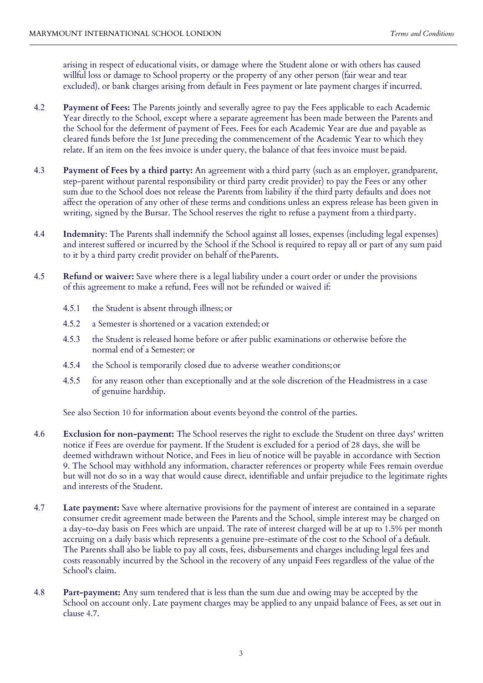arising in respect of educational visits, or damage where the Student alone or with others has caused willful loss or damage to School property or the property of any other person (fair wear and tear excluded), or bank charges arising from default in Fees payment or late payment charges if incurred.

- 4.2 **Payment of Fees:** The Parents jointly and severally agree to pay the Fees applicable to each Academic Year directly to the School, except where a separate agreement has been made between the Parents and the School for the deferment of payment of Fees. Fees for each Academic Year are due and payable as cleared funds before the 1st June preceding the commencement of the Academic Year to which they relate. If an item on the fees invoice is under query, the balance of that fees invoice must bepaid.
- 4.3 **Payment of Fees by a third party:** An agreement with a third party (such as an employer, grandparent, step-parent without parental responsibility or third party credit provider) to pay the Fees or any other sum due to the School does not release the Parents from liability if the third party defaults and does not affect the operation of any other of these terms and conditions unless an express release has been given in writing, signed by the Bursar. The School reserves the right to refuse a payment from a thirdparty.
- 4.4 **Indemnity**: The Parents shall indemnify the School against all losses, expenses (including legal expenses) and interest suffered or incurred by the School if the School is required to repay all or part of any sum paid to it by a third party credit provider on behalf of theParents.
- 4.5 **Refund or waiver:** Save where there is a legal liability under a court order or under the provisions of this agreement to make a refund, Fees will not be refunded or waived if:
	- 4.5.1 the Student is absent through illness; or
	- 4.5.2 a Semester is shortened or a vacation extended; or
	- 4.5.3 the Student is released home before or after public examinations or otherwise before the normal end of a Semester; or
	- 4.5.4 the School is temporarily closed due to adverse weather conditions;or
	- 4.5.5 for any reason other than exceptionally and at the sole discretion of the Headmistress in a case of genuine hardship.

See also Section 10 for information about events beyond the control of the parties.

- 4.6 **Exclusion for non-payment:** The School reserves the right to exclude the Student on three days' written notice if Fees are overdue for payment. If the Student is excluded for a period of 28 days, she will be deemed withdrawn without Notice, and Fees in lieu of notice will be payable in accordance with Section 9. The School may withhold any information, character references or property while Fees remain overdue but will not do so in a way that would cause direct, identifiable and unfair prejudice to the legitimate rights and interests of the Student.
- 4.7 **Late payment:** Save where alternative provisions for the payment of interest are contained in a separate consumer credit agreement made between the Parents and the School, simple interest may be charged on a day-to-day basis on Fees which are unpaid. The rate of interest charged will be at up to 1.5% per month accruing on a daily basis which represents a genuine pre-estimate of the cost to the School of a default. The Parents shall also be liable to pay all costs, fees, disbursements and charges including legal fees and costs reasonably incurred by the School in the recovery of any unpaid Fees regardless of the value of the School's claim.
- 4.8 **Part-payment:** Any sum tendered that is less than the sum due and owing may be accepted by the School on account only. Late payment charges may be applied to any unpaid balance of Fees, as set out in clause 4.7.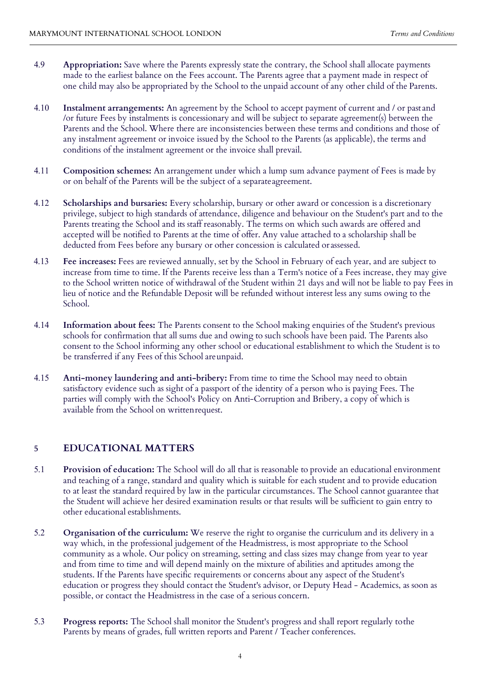- 4.9 **Appropriation:** Save where the Parents expressly state the contrary, the School shall allocate payments made to the earliest balance on the Fees account. The Parents agree that a payment made in respect of one child may also be appropriated by the School to the unpaid account of any other child of the Parents.
- 4.10 **Instalment arrangements:** An agreement by the School to accept payment of current and / or past and /or future Fees by instalments is concessionary and will be subject to separate agreement(s) between the Parents and the School. Where there are inconsistencies between these terms and conditions and those of any instalment agreement or invoice issued by the School to the Parents (as applicable), the terms and conditions of the instalment agreement or the invoice shall prevail.
- 4.11 **Composition schemes:** An arrangement under which a lump sum advance payment of Fees is made by or on behalf of the Parents will be the subject of a separateagreement.
- 4.12 **Scholarships and bursaries:** Every scholarship, bursary or other award or concession is a discretionary privilege, subject to high standards of attendance, diligence and behaviour on the Student's part and to the Parents treating the School and its staff reasonably. The terms on which such awards are offered and accepted will be notified to Parents at the time of offer. Any value attached to a scholarship shall be deducted from Fees before any bursary or other concession is calculated or assessed.
- 4.13 **Fee increases:** Fees are reviewed annually, set by the School in February of each year, and are subject to increase from time to time. If the Parents receive less than a Term's notice of a Fees increase, they may give to the School written notice of withdrawal of the Student within 21 days and will not be liable to pay Fees in lieu of notice and the Refundable Deposit will be refunded without interest less any sums owing to the School.
- 4.14 **Information about fees:** The Parents consent to the School making enquiries of the Student's previous schools for confirmation that all sums due and owing to such schools have been paid. The Parents also consent to the School informing any other school or educational establishment to which the Student is to be transferred if any Fees of this School areunpaid.
- 4.15 **Anti-money laundering and anti-bribery:** From time to time the School may need to obtain satisfactory evidence such as sight of a passport of the identity of a person who is paying Fees. The parties will comply with the School's Policy on Anti-Corruption and Bribery, a copy of which is available from the School on writtenrequest.

#### **5 EDUCATIONAL MATTERS**

- 5.1 **Provision of education:** The School will do all that is reasonable to provide an educational environment and teaching of a range, standard and quality which is suitable for each student and to provide education to at least the standard required by law in the particular circumstances. The School cannot guarantee that the Student will achieve her desired examination results or that results will be sufficient to gain entry to other educational establishments.
- 5.2 **Organisation of the curriculum:** We reserve the right to organise the curriculum and its delivery in a way which, in the professional judgement of the Headmistress, is most appropriate to the School community as a whole. Our policy on streaming, setting and class sizes may change from year to year and from time to time and will depend mainly on the mixture of abilities and aptitudes among the students. If the Parents have specific requirements or concerns about any aspect of the Student's education or progress they should contact the Student's advisor, or Deputy Head - Academics, as soon as possible, or contact the Headmistress in the case of a serious concern.
- 5.3 **Progress reports:** The School shall monitor the Student's progress and shall report regularly tothe Parents by means of grades, full written reports and Parent / Teacher conferences.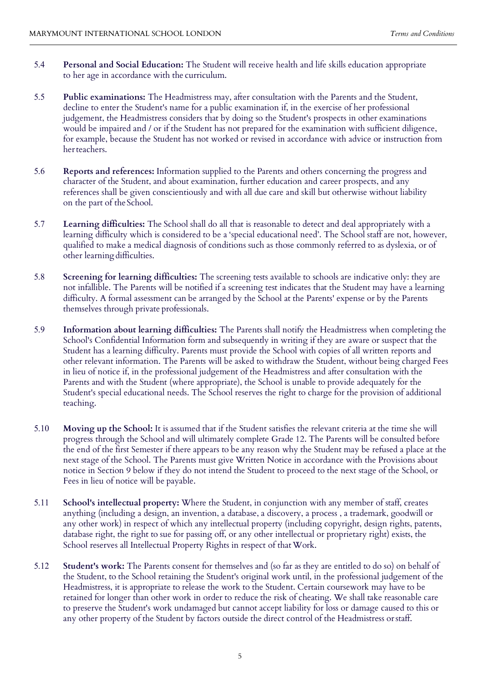- 5.4 **Personal and Social Education:** The Student will receive health and life skills education appropriate to her age in accordance with the curriculum.
- 5.5 **Public examinations:** The Headmistress may, after consultation with the Parents and the Student, decline to enter the Student's name for a public examination if, in the exercise of her professional judgement, the Headmistress considers that by doing so the Student's prospects in other examinations would be impaired and / or if the Student has not prepared for the examination with sufficient diligence, for example, because the Student has not worked or revised in accordance with advice or instruction from herteachers.
- 5.6 **Reports and references:** Information supplied to the Parents and others concerning the progress and character of the Student, and about examination, further education and career prospects, and any references shall be given conscientiously and with all due care and skill but otherwise without liability on the part of the School.
- 5.7 **Learning difficulties:** The School shall do all that is reasonable to detect and deal appropriately with a learning difficulty which is considered to be a 'special educational need'. The School staff are not, however, qualified to make a medical diagnosis of conditions such as those commonly referred to as dyslexia, or of other learning difficulties.
- 5.8 **Screening for learning difficulties:** The screening tests available to schools are indicative only: they are not infallible. The Parents will be notified if a screening test indicates that the Student may have a learning difficulty. A formal assessment can be arranged by the School at the Parents' expense or by the Parents themselves through private professionals.
- 5.9 **Information about learning difficulties:** The Parents shall notify the Headmistress when completing the School's Confidential Information form and subsequently in writing if they are aware or suspect that the Student has a learning difficulty. Parents must provide the School with copies of all written reports and other relevant information. The Parents will be asked to withdraw the Student, without being charged Fees in lieu of notice if, in the professional judgement of the Headmistress and after consultation with the Parents and with the Student (where appropriate), the School is unable to provide adequately for the Student's special educational needs. The School reserves the right to charge for the provision of additional teaching.
- 5.10 **Moving up the School:** It is assumed that if the Student satisfies the relevant criteria at the time she will progress through the School and will ultimately complete Grade 12. The Parents will be consulted before the end of the first Semester if there appears to be any reason why the Student may be refused a place at the next stage of the School. The Parents must give Written Notice in accordance with the Provisions about notice in Section 9 below if they do not intend the Student to proceed to the next stage of the School, or Fees in lieu of notice will be payable.
- 5.11 **School's intellectual property:** Where the Student, in conjunction with any member of staff, creates anything (including a design, an invention, a database, a discovery, a process , a trademark, goodwill or any other work) in respect of which any intellectual property (including copyright, design rights, patents, database right, the right to sue for passing off, or any other intellectual or proprietary right) exists, the School reserves all Intellectual Property Rights in respect of that Work.
- 5.12 **Student's work:** The Parents consent for themselves and (so far as they are entitled to do so) on behalf of the Student, to the School retaining the Student's original work until, in the professional judgement of the Headmistress, it is appropriate to release the work to the Student. Certain coursework may have to be retained for longer than other work in order to reduce the risk of cheating. We shall take reasonable care to preserve the Student's work undamaged but cannot accept liability for loss or damage caused to this or any other property of the Student by factors outside the direct control of the Headmistress orstaff.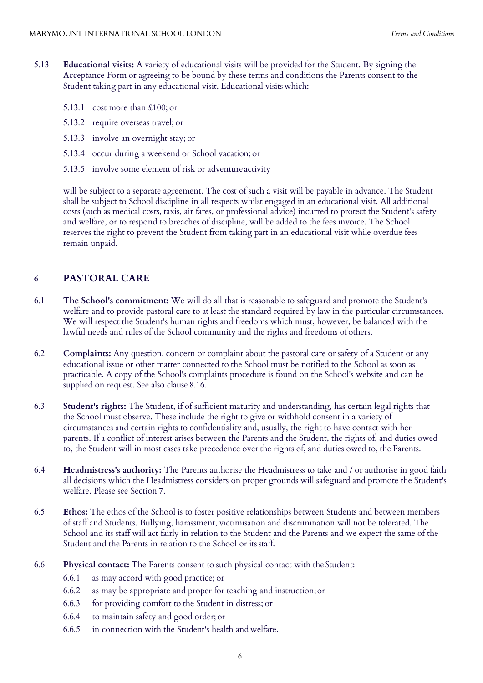- 5.13 **Educational visits:** A variety of educational visits will be provided for the Student. By signing the Acceptance Form or agreeing to be bound by these terms and conditions the Parents consent to the Student taking part in any educational visit. Educational visits which:
	- 5.13.1 cost more than £100; or
	- 5.13.2 require overseas travel; or
	- 5.13.3 involve an overnight stay; or
	- 5.13.4 occur during a weekend or School vacation; or
	- 5.13.5 involve some element of risk or adventure activity

will be subject to a separate agreement. The cost of such a visit will be payable in advance. The Student shall be subject to School discipline in all respects whilst engaged in an educational visit. All additional costs (such as medical costs, taxis, air fares, or professional advice) incurred to protect the Student's safety and welfare, or to respond to breaches of discipline, will be added to the fees invoice. The School reserves the right to prevent the Student from taking part in an educational visit while overdue fees remain unpaid.

### **6 PASTORAL CARE**

- 6.1 **The School's commitment:** We will do all that is reasonable to safeguard and promote the Student's welfare and to provide pastoral care to at least the standard required by law in the particular circumstances. We will respect the Student's human rights and freedoms which must, however, be balanced with the lawful needs and rules of the School community and the rights and freedoms of others.
- 6.2 **Complaints:** Any question, concern or complaint about the pastoral care or safety of a Student or any educational issue or other matter connected to the School must be notified to the School as soon as practicable. A copy of the School's complaints procedure is found on the School's website and can be supplied on request. See also clause 8.16.
- 6.3 **Student's rights:** The Student, if of sufficient maturity and understanding, has certain legal rights that the School must observe. These include the right to give or withhold consent in a variety of circumstances and certain rights to confidentiality and, usually, the right to have contact with her parents. If a conflict of interest arises between the Parents and the Student, the rights of, and duties owed to, the Student will in most cases take precedence over the rights of, and duties owed to, the Parents.
- 6.4 **Headmistress's authority:** The Parents authorise the Headmistress to take and / or authorise in good faith all decisions which the Headmistress considers on proper grounds will safeguard and promote the Student's welfare. Please see Section 7.
- 6.5 **Ethos:** The ethos of the School is to foster positive relationships between Students and between members of staff and Students. Bullying, harassment, victimisation and discrimination will not be tolerated. The School and its staff will act fairly in relation to the Student and the Parents and we expect the same of the Student and the Parents in relation to the School or its staff.
- 6.6 **Physical contact:** The Parents consent to such physical contact with the Student:
	- 6.6.1 as may accord with good practice; or
	- 6.6.2 as may be appropriate and proper for teaching and instruction;or
	- 6.6.3 for providing comfort to the Student in distress; or
	- 6.6.4 to maintain safety and good order; or
	- 6.6.5 in connection with the Student's health and welfare.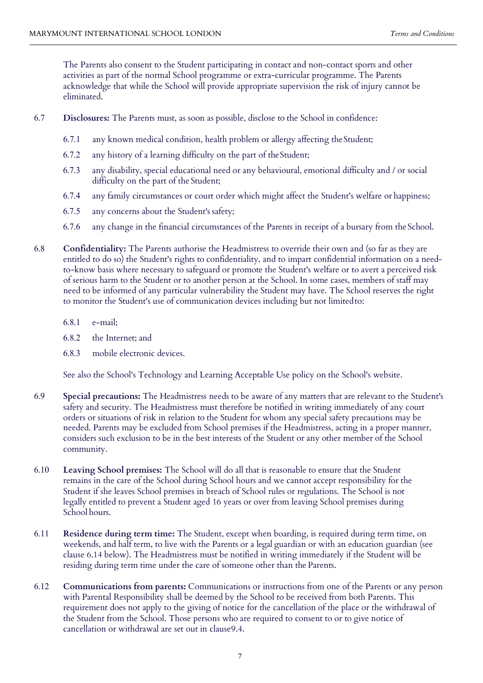The Parents also consent to the Student participating in contact and non-contact sports and other activities as part of the normal School programme or extra-curricular programme. The Parents acknowledge that while the School will provide appropriate supervision the risk of injury cannot be eliminated.

- 6.7 **Disclosures:** The Parents must, as soon as possible, disclose to the School in confidence:
	- 6.7.1 any known medical condition, health problem or allergy affecting theStudent;
	- 6.7.2 any history of a learning difficulty on the part of theStudent;
	- 6.7.3 any disability, special educational need or any behavioural, emotional difficulty and / or social difficulty on the part of the Student;
	- 6.7.4 any family circumstances or court order which might affect the Student's welfare or happiness;
	- 6.7.5 any concerns about the Student's safety;
	- 6.7.6 any change in the financial circumstances of the Parents in receipt of a bursary from the School.
- 6.8 **Confidentiality:** The Parents authorise the Headmistress to override their own and (so far as they are entitled to do so) the Student's rights to confidentiality, and to impart confidential information on a needto-know basis where necessary to safeguard or promote the Student's welfare or to avert a perceived risk of serious harm to the Student or to another person at the School. In some cases, members of staff may need to be informed of any particular vulnerability the Student may have. The School reserves the right to monitor the Student's use of communication devices including but not limitedto:
	- 6.8.1 e-mail;
	- 6.8.2 the Internet; and
	- 6.8.3 mobile electronic devices.

See also the School's Technology and Learning Acceptable Use policy on the School's website.

- 6.9 **Special precautions:** The Headmistress needs to be aware of any matters that are relevant to the Student's safety and security. The Headmistress must therefore be notified in writing immediately of any court orders or situations of risk in relation to the Student for whom any special safety precautions may be needed. Parents may be excluded from School premises if the Headmistress, acting in a proper manner, considers such exclusion to be in the best interests of the Student or any other member of the School community.
- 6.10 **Leaving School premises:** The School will do all that is reasonable to ensure that the Student remains in the care of the School during School hours and we cannot accept responsibility for the Student if she leaves School premises in breach of School rules or regulations. The School is not legally entitled to prevent a Student aged 16 years or over from leaving School premises during School hours.
- 6.11 **Residence during term time:** The Student, except when boarding, is required during term time, on weekends, and half term, to live with the Parents or a legal guardian or with an education guardian (see clause 6.14 below). The Headmistress must be notified in writing immediately if the Student will be residing during term time under the care of someone other than the Parents.
- 6.12 **Communications from parents:** Communications or instructions from one of the Parents or any person with Parental Responsibility shall be deemed by the School to be received from both Parents. This requirement does not apply to the giving of notice for the cancellation of the place or the withdrawal of the Student from the School. Those persons who are required to consent to or to give notice of cancellation or withdrawal are set out in clause9.4.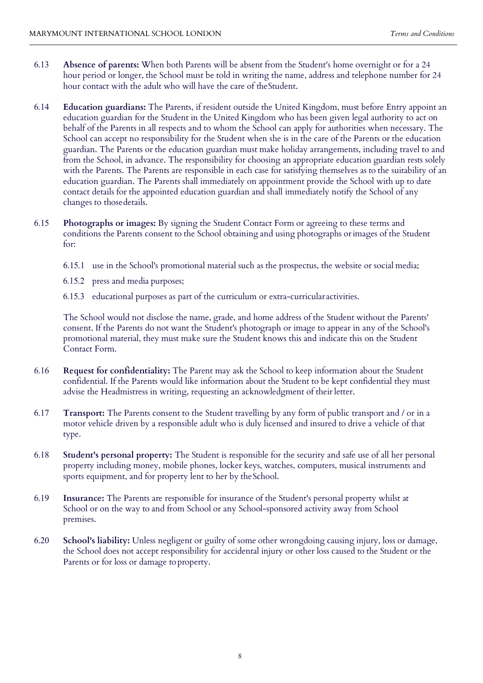- 6.13 **Absence of parents:** When both Parents will be absent from the Student's home overnight or for a 24 hour period or longer, the School must be told in writing the name, address and telephone number for 24 hour contact with the adult who will have the care of theStudent.
- 6.14 **Education guardians:** The Parents, if resident outside the United Kingdom, must before Entry appoint an education guardian for the Student in the United Kingdom who has been given legal authority to act on behalf of the Parents in all respects and to whom the School can apply for authorities when necessary. The School can accept no responsibility for the Student when she is in the care of the Parents or the education guardian. The Parents or the education guardian must make holiday arrangements, including travel to and from the School, in advance. The responsibility for choosing an appropriate education guardian rests solely with the Parents. The Parents are responsible in each case for satisfying themselves as to the suitability of an education guardian. The Parents shall immediately on appointment provide the School with up to date contact details for the appointed education guardian and shall immediately notify the School of any changes to thosedetails.
- 6.15 **Photographs or images:** By signing the Student Contact Form or agreeing to these terms and conditions the Parents consent to the School obtaining and using photographs orimages of the Student for:
	- 6.15.1 use in the School's promotional material such as the prospectus, the website or social media;
	- 6.15.2 press and media purposes;
	- 6.15.3 educational purposes as part of the curriculum or extra-curricular activities.

The School would not disclose the name, grade, and home address of the Student without the Parents' consent. If the Parents do not want the Student's photograph or image to appear in any of the School's promotional material, they must make sure the Student knows this and indicate this on the Student Contact Form.

- 6.16 **Request for confidentiality:** The Parent may ask the School to keep information about the Student confidential. If the Parents would like information about the Student to be kept confidential they must advise the Headmistress in writing, requesting an acknowledgment of their letter.
- 6.17 **Transport:** The Parents consent to the Student travelling by any form of public transport and / or in a motor vehicle driven by a responsible adult who is duly licensed and insured to drive a vehicle of that type.
- 6.18 **Student's personal property:** The Student is responsible for the security and safe use of all her personal property including money, mobile phones, locker keys, watches, computers, musical instruments and sports equipment, and for property lent to her by the School.
- 6.19 **Insurance:** The Parents are responsible for insurance of the Student's personal property whilst at School or on the way to and from School or any School-sponsored activity away from School premises.
- 6.20 **School's liability:** Unless negligent or guilty of some other wrongdoing causing injury, loss or damage, the School does not accept responsibility for accidental injury or other loss caused to the Student or the Parents or for loss or damage to property.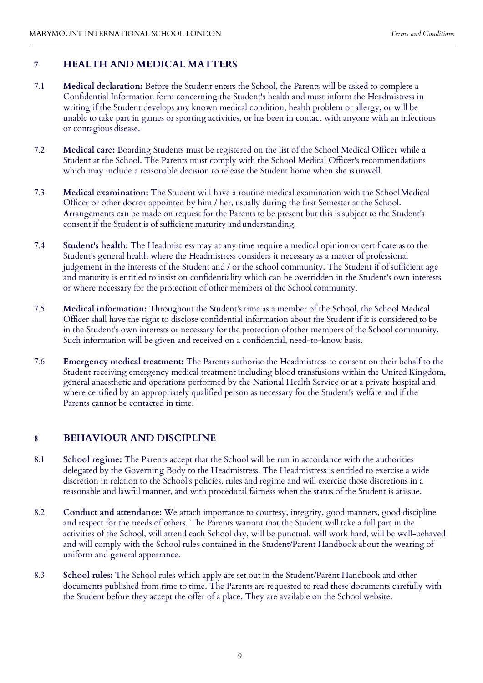#### **7 HEALTH AND MEDICAL MATTERS**

- 7.1 **Medical declaration:** Before the Student enters the School, the Parents will be asked to complete a Confidential Information form concerning the Student's health and must inform the Headmistress in writing if the Student develops any known medical condition, health problem or allergy, or will be unable to take part in games or sporting activities, or has been in contact with anyone with an infectious or contagious disease.
- 7.2 **Medical care:** Boarding Students must be registered on the list of the School Medical Officer while a Student at the School. The Parents must comply with the School Medical Officer's recommendations which may include a reasonable decision to release the Student home when she is unwell.
- 7.3 **Medical examination:** The Student will have a routine medical examination with the SchoolMedical Officer or other doctor appointed by him / her, usually during the first Semester at the School. Arrangements can be made on request for the Parents to be present but this is subject to the Student's consent if the Student is of sufficient maturity andunderstanding.
- 7.4 **Student's health:** The Headmistress may at any time require a medical opinion or certificate as to the Student's general health where the Headmistress considers it necessary as a matter of professional judgement in the interests of the Student and / or the school community. The Student if of sufficient age and maturity is entitled to insist on confidentiality which can be overridden in the Student's own interests or where necessary for the protection of other members of the School community.
- 7.5 **Medical information:** Throughout the Student's time as a member of the School, the School Medical Officer shall have the right to disclose confidential information about the Student if it is considered to be in the Student's own interests or necessary for the protection ofother members of the School community. Such information will be given and received on a confidential, need-to-know basis.
- 7.6 **Emergency medical treatment:** The Parents authorise the Headmistress to consent on their behalf to the Student receiving emergency medical treatment including blood transfusions within the United Kingdom, general anaesthetic and operations performed by the National Health Service or at a private hospital and where certified by an appropriately qualified person as necessary for the Student's welfare and if the Parents cannot be contacted in time.

#### **8 BEHAVIOUR AND DISCIPLINE**

- 8.1 **School regime:** The Parents accept that the School will be run in accordance with the authorities delegated by the Governing Body to the Headmistress. The Headmistress is entitled to exercise a wide discretion in relation to the School's policies, rules and regime and will exercise those discretions in a reasonable and lawful manner, and with procedural fairness when the status of the Student is atissue.
- 8.2 **Conduct and attendance:** We attach importance to courtesy, integrity, good manners, good discipline and respect for the needs of others. The Parents warrant that the Student will take a full part in the activities of the School, will attend each School day, will be punctual, will work hard, will be well-behaved and will comply with the School rules contained in the Student/Parent Handbook about the wearing of uniform and general appearance.
- 8.3 **School rules:** The School rules which apply are set out in the Student/Parent Handbook and other documents published from time to time. The Parents are requested to read these documents carefully with the Student before they accept the offer of a place. They are available on the School website.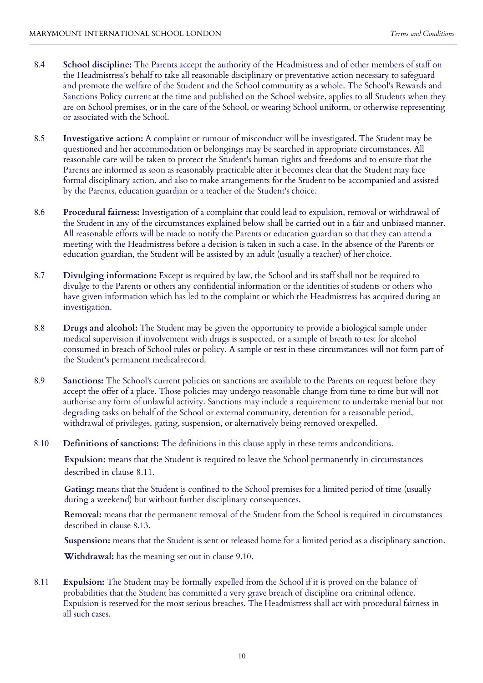- 8.4 **School discipline:** The Parents accept the authority of the Headmistress and of other members of staff on the Headmistress's behalf to take all reasonable disciplinary or preventative action necessary to safeguard and promote the welfare of the Student and the School community as a whole. The School's Rewards and Sanctions Policy current at the time and published on the School website, applies to all Students when they are on School premises, or in the care of the School, or wearing School uniform, or otherwise representing or associated with the School.
- 8.5 **Investigative action:** A complaint or rumour of misconduct will be investigated. The Student may be questioned and her accommodation or belongings may be searched in appropriate circumstances. All reasonable care will be taken to protect the Student's human rights and freedoms and to ensure that the Parents are informed as soon as reasonably practicable after it becomes clear that the Student may face formal disciplinary action, and also to make arrangements for the Student to be accompanied and assisted by the Parents, education guardian or a teacher of the Student's choice.
- 8.6 **Procedural fairness:** Investigation of a complaint that could lead to expulsion, removal or withdrawal of the Student in any of the circumstances explained below shall be carried out in a fair and unbiased manner. All reasonable efforts will be made to notify the Parents or education guardian so that they can attend a meeting with the Headmistress before a decision is taken in such a case. In the absence of the Parents or education guardian, the Student will be assisted by an adult (usually a teacher) of her choice.
- 8.7 **Divulging information:** Except as required by law, the School and its staff shall not be required to divulge to the Parents or others any confidential information or the identities of students or others who have given information which has led to the complaint or which the Headmistress has acquired during an investigation.
- 8.8 **Drugs and alcohol:** The Student may be given the opportunity to provide a biological sample under medical supervision if involvement with drugs is suspected, or a sample of breath to test for alcohol consumed in breach of School rules or policy. A sample or test in these circumstances will not form part of the Student's permanent medicalrecord.
- 8.9 **Sanctions:** The School's current policies on sanctions are available to the Parents on request before they accept the offer of a place. Those policies may undergo reasonable change from time to time but will not authorise any form of unlawful activity. Sanctions may include a requirement to undertake menial but not degrading tasks on behalf of the School or external community, detention for a reasonable period, withdrawal of privileges, gating, suspension, or alternatively being removed orexpelled.
- 8.10 **Definitions of sanctions:** The definitions in this clause apply in these terms andconditions.

**Expulsion:** means that the Student is required to leave the School permanently in circumstances described in clause 8.11.

**Gating:** means that the Student is confined to the School premises for a limited period of time (usually during a weekend) but without further disciplinary consequences.

**Removal:** means that the permanent removal of the Student from the School is required in circumstances described in clause 8.13.

**Suspension:** means that the Student is sent or released home for a limited period as a disciplinary sanction.

**Withdrawal:** has the meaning set out in clause 9.10.

8.11 **Expulsion:** The Student may be formally expelled from the School if it is proved on the balance of probabilities that the Student has committed a very grave breach of discipline ora criminal offence. Expulsion is reserved for the most serious breaches. The Headmistress shall act with procedural fairness in all such cases.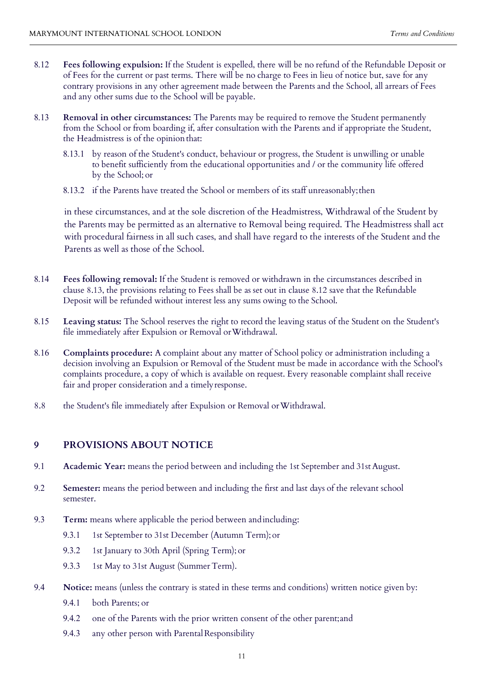- 8.12 **Fees following expulsion:** If the Student is expelled, there will be no refund of the Refundable Deposit or of Fees for the current or past terms. There will be no charge to Fees in lieu of notice but, save for any contrary provisions in any other agreement made between the Parents and the School, all arrears of Fees and any other sums due to the School will be payable.
- 8.13 **Removal in other circumstances:** The Parents may be required to remove the Student permanently from the School or from boarding if, after consultation with the Parents and if appropriate the Student, the Headmistress is of the opinion that:
	- 8.13.1 by reason of the Student's conduct, behaviour or progress, the Student is unwilling or unable to benefit sufficiently from the educational opportunities and / or the community life offered by the School; or
	- 8.13.2 if the Parents have treated the School or members of its staff unreasonably;then

in these circumstances, and at the sole discretion of the Headmistress, Withdrawal of the Student by the Parents may be permitted as an alternative to Removal being required. The Headmistress shall act with procedural fairness in all such cases, and shall have regard to the interests of the Student and the Parents as well as those of the School.

- 8.14 **Fees following removal:** If the Student is removed or withdrawn in the circumstances described in clause 8.13, the provisions relating to Fees shall be as set out in clause 8.12 save that the Refundable Deposit will be refunded without interest less any sums owing to the School.
- 8.15 **Leaving status:** The School reserves the right to record the leaving status of the Student on the Student's file immediately after Expulsion or Removal or Withdrawal.
- 8.16 **Complaints procedure:** A complaint about any matter of School policy or administration including a decision involving an Expulsion or Removal of the Student must be made in accordance with the School's complaints procedure, a copy of which is available on request. Every reasonable complaint shall receive fair and proper consideration and a timelyresponse.
- 8.8 the Student's file immediately after Expulsion or Removal orWithdrawal.

#### **9 PROVISIONS ABOUT NOTICE**

- 9.1 **Academic Year:** means the period between and including the 1st September and 31st August.
- 9.2 **Semester:** means the period between and including the first and last days of the relevant school semester.
- 9.3 **Term:** means where applicable the period between andincluding:
	- 9.3.1 1st September to 31st December (Autumn Term); or
	- 9.3.2 1st January to 30th April (Spring Term); or
	- 9.3.3 1st May to 31st August (Summer Term).
- 9.4 **Notice:** means (unless the contrary is stated in these terms and conditions) written notice given by:
	- 9.4.1 both Parents; or
	- 9.4.2 one of the Parents with the prior written consent of the other parent;and
	- 9.4.3 any other person with Parental Responsibility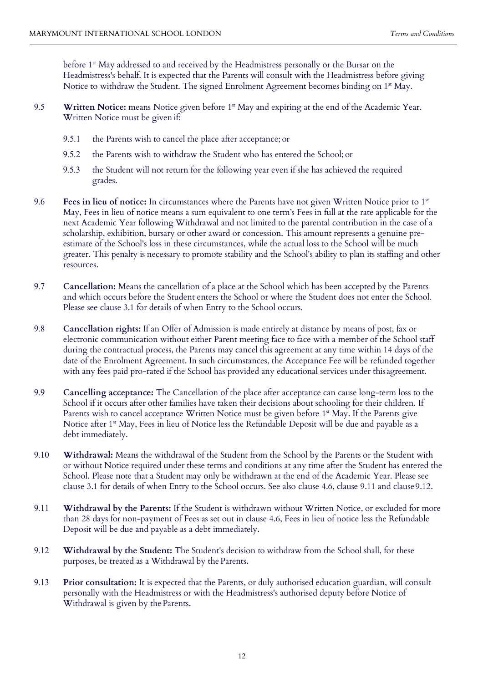before 1<sup>st</sup> May addressed to and received by the Headmistress personally or the Bursar on the Headmistress's behalf. It is expected that the Parents will consult with the Headmistress before giving Notice to withdraw the Student. The signed Enrolment Agreement becomes binding on  $1<sup>st</sup>$  May.

- 9.5 **Written Notice:** means Notice given before 1<sup>st</sup> May and expiring at the end of the Academic Year. Written Notice must be given if:
	- 9.5.1 the Parents wish to cancel the place after acceptance; or
	- 9.5.2 the Parents wish to withdraw the Student who has entered the School; or
	- 9.5.3 the Student will not return for the following year even if she has achieved the required grades.
- 9.6 **Fees in lieu of notice:** In circumstances where the Parents have not given Written Notice prior to 1st May, Fees in lieu of notice means a sum equivalent to one term's Fees in full at the rate applicable for the next Academic Year following Withdrawal and not limited to the parental contribution in the case of a scholarship, exhibition, bursary or other award or concession. This amount represents a genuine preestimate of the School's loss in these circumstances, while the actual loss to the School will be much greater. This penalty is necessary to promote stability and the School's ability to plan its staffing and other resources.
- 9.7 **Cancellation:** Means the cancellation of a place at the School which has been accepted by the Parents and which occurs before the Student enters the School or where the Student does not enter the School. Please see clause 3.1 for details of when Entry to the School occurs.
- 9.8 **Cancellation rights:** If an Offer of Admission is made entirely at distance by means of post, fax or electronic communication without either Parent meeting face to face with a member of the School staff during the contractual process, the Parents may cancel this agreement at any time within 14 days of the date of the Enrolment Agreement. In such circumstances, the Acceptance Fee will be refunded together with any fees paid pro-rated if the School has provided any educational services under this agreement.
- 9.9 **Cancelling acceptance:** The Cancellation of the place after acceptance can cause long-term loss to the School if it occurs after other families have taken their decisions about schooling for their children. If Parents wish to cancel acceptance Written Notice must be given before 1<sup>st</sup> May. If the Parents give Notice after 1<sup>st</sup> May, Fees in lieu of Notice less the Refundable Deposit will be due and payable as a debt immediately.
- 9.10 **Withdrawal:** Means the withdrawal of the Student from the School by the Parents or the Student with or without Notice required under these terms and conditions at any time after the Student has entered the School. Please note that a Student may only be withdrawn at the end of the Academic Year. Please see clause 3.1 for details of when Entry to the School occurs. See also clause 4.6, clause 9.11 and clause9.12.
- 9.11 **Withdrawal by the Parents:** If the Student is withdrawn without Written Notice, or excluded for more than 28 days for non-payment of Fees as set out in clause 4.6, Fees in lieu of notice less the Refundable Deposit will be due and payable as a debt immediately.
- 9.12 **Withdrawal by the Student:** The Student's decision to withdraw from the School shall, for these purposes, be treated as a Withdrawal by the Parents.
- 9.13 **Prior consultation:** It is expected that the Parents, or duly authorised education guardian, will consult personally with the Headmistress or with the Headmistress's authorised deputy before Notice of Withdrawal is given by the Parents.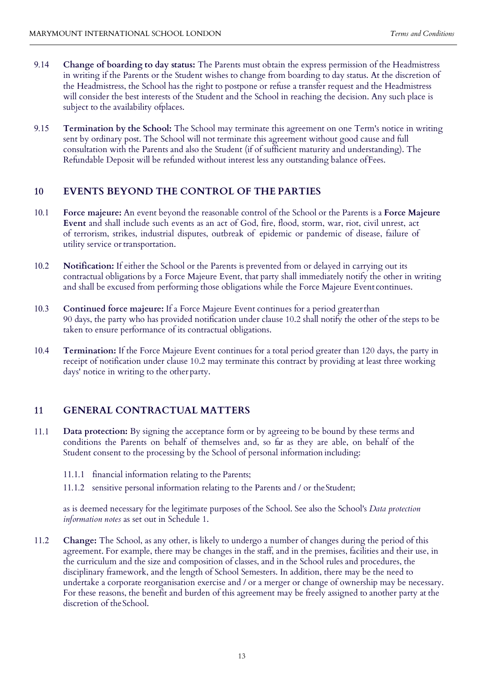- 9.14 **Change of boarding to day status:** The Parents must obtain the express permission of the Headmistress in writing if the Parents or the Student wishes to change from boarding to day status. At the discretion of the Headmistress, the School has the right to postpone or refuse a transfer request and the Headmistress will consider the best interests of the Student and the School in reaching the decision. Any such place is subject to the availability ofplaces.
- 9.15 **Termination by the School:** The School may terminate this agreement on one Term's notice in writing sent by ordinary post. The School will not terminate this agreement without good cause and full consultation with the Parents and also the Student (if of sufficient maturity and understanding). The Refundable Deposit will be refunded without interest less any outstanding balance ofFees.

#### **10 EVENTS BEYOND THE CONTROL OF THE PARTIES**

- 10.1 **Force majeure:** An event beyond the reasonable control of the School or the Parents is a **Force Majeure Event** and shall include such events as an act of God, fire, flood, storm, war, riot, civil unrest, act of terrorism, strikes, industrial disputes, outbreak of epidemic or pandemic of disease, failure of utility service or transportation.
- 10.2 **Notification:** If either the School or the Parents is prevented from or delayed in carrying out its contractual obligations by a Force Majeure Event, that party shall immediately notify the other in writing and shall be excused from performing those obligations while the Force Majeure Event continues.
- 10.3 **Continued force majeure:** If a Force Majeure Event continues for a period greater than 90 days, the party who has provided notification under clause 10.2 shall notify the other of the steps to be taken to ensure performance of its contractual obligations.
- 10.4 **Termination:** If the Force Majeure Event continues for a total period greater than 120 days, the party in receipt of notification under clause 10.2 may terminate this contract by providing at least three working days' notice in writing to the other party.

### **11 GENERAL CONTRACTUAL MATTERS**

- 11.1 **Data protection:** By signing the acceptance form or by agreeing to be bound by these terms and conditions the Parents on behalf of themselves and, so far as they are able, on behalf of the Student consent to the processing by the School of personal information including:
	- 11.1.1 financial information relating to the Parents;
	- 11.1.2 sensitive personal information relating to the Parents and / or the Student;

as is deemed necessary for the legitimate purposes of the School. See also the School's *Data protection information notes* as set out in Schedule 1.

11.2 **Change:** The School, as any other, is likely to undergo a number of changes during the period of this agreement. For example, there may be changes in the staff, and in the premises, facilities and their use, in the curriculum and the size and composition of classes, and in the School rules and procedures, the disciplinary framework, and the length of School Semesters. In addition, there may be the need to undertake a corporate reorganisation exercise and / or a merger or change of ownership may be necessary. For these reasons, the benefit and burden of this agreement may be freely assigned to another party at the discretion of theSchool.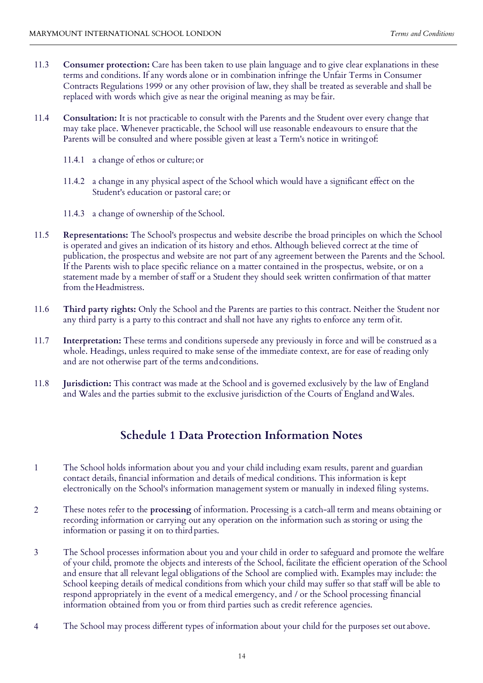- 11.3 **Consumer protection:** Care has been taken to use plain language and to give clear explanations in these terms and conditions. If any words alone or in combination infringe the Unfair Terms in Consumer Contracts Regulations 1999 or any other provision of law, they shall be treated as severable and shall be replaced with words which give as near the original meaning as may be fair.
- 11.4 **Consultation:** It is not practicable to consult with the Parents and the Student over every change that may take place. Whenever practicable, the School will use reasonable endeavours to ensure that the Parents will be consulted and where possible given at least a Term's notice in writingof:
	- 11.4.1 a change of ethos or culture; or
	- 11.4.2 a change in any physical aspect of the School which would have a significant effect on the Student's education or pastoral care; or
	- 11.4.3 a change of ownership of the School.
- 11.5 **Representations:** The School's prospectus and website describe the broad principles on which the School is operated and gives an indication of its history and ethos. Although believed correct at the time of publication, the prospectus and website are not part of any agreement between the Parents and the School. If the Parents wish to place specific reliance on a matter contained in the prospectus, website, or on a statement made by a member of staff or a Student they should seek written confirmation of that matter from the Headmistress.
- 11.6 **Third party rights:** Only the School and the Parents are parties to this contract. Neither the Student nor any third party is a party to this contract and shall not have any rights to enforce any term ofit.
- 11.7 **Interpretation:** These terms and conditions supersede any previously in force and will be construed as a whole. Headings, unless required to make sense of the immediate context, are for ease of reading only and are not otherwise part of the terms and conditions.
- 11.8 **Jurisdiction:** This contract was made at the School and is governed exclusively by the law of England and Wales and the parties submit to the exclusive jurisdiction of the Courts of England and Wales.

## **Schedule 1 Data Protection Information Notes**

- 1 The School holds information about you and your child including exam results, parent and guardian contact details, financial information and details of medical conditions. This information is kept electronically on the School's information management system or manually in indexed filing systems.
- 2 These notes refer to the **processing** of information. Processing is a catch-all term and means obtaining or recording information or carrying out any operation on the information such as storing or using the information or passing it on to third parties.
- 3 The School processes information about you and your child in order to safeguard and promote the welfare of your child, promote the objects and interests of the School, facilitate the efficient operation of the School and ensure that all relevant legal obligations of the School are complied with. Examples may include: the School keeping details of medical conditions from which your child may suffer so that staff will be able to respond appropriately in the event of a medical emergency, and / or the School processing financial information obtained from you or from third parties such as credit reference agencies.
- 4 The School may process different types of information about your child for the purposes set out above.